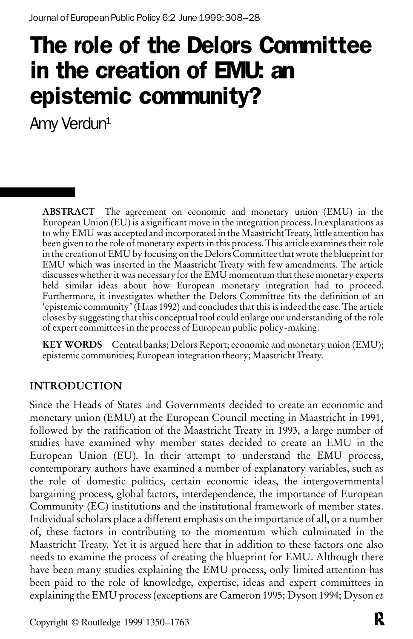# The role of the Delors Committee in the creation of EMU: an epistemic community?

Amy Verdun 1

**ABSTRACT** The agreement on economic and monetary union (EMU) in the European Union (EU) is a significant move in the integration process. In explanations as to why EMU was accepted and incorporated in the Maastricht Treaty, little attention has been given to the role of monetary experts in this process. This article examines their role in the creation of EMU by focusing on the Delors Committee that wrote the blueprint for EMU which was inserted in the Maastricht Treaty with few amendments. The article discusses whether it was necessary for the EMU momentum that these monetary experts held similar ideas about how European monetary integration had to proceed. Furthermore, it investigates whether the Delors Committee fits the definition of an 'epistemic community' (Haas 1992) and concludes that this is indeed the case. The article closes by suggesting that this conceptual tool could enlarge our understanding of the role of expert committees in the process of European public policy-making.

**KEY WORDS** Central banks; Delors Report; economic and monetary union (EMU); epistemic communities; European integration theory; Maastricht Treaty.

# **INTRODUCTION**

Since the Heads of States and Governments decided to create an economic and monetary union (EMU) at the European Council meeting in Maastricht in 1991, followed by the ratification of the Maastricht Treaty in 1993, a large number of studies have examined why member states decided to create an EMU in the European Union (EU). In their attempt to understand the EMU process, contemporary authors have examined a number of explanatory variables, such as the role of domestic politics, certain economic ideas, the intergovernmental bargaining process, global factors, interdependence, the importance of European Community (EC) institutions and the institutional framework of member states. Individual scholars place a different emphasis on the importance of all, or a number of, these factors in contributing to the momentum which culminated in the Maastricht Treaty. Yet it is argued here that in addition to these factors one also needs to examine the process of creating the blueprint for EMU. Although there have been many studies explaining the EMU process, only limited attention has been paid to the role of knowledge, expertise, ideas and expert committees in explaining the EMU process (exceptions are Cameron 1995; Dyson 1994; Dyson *et*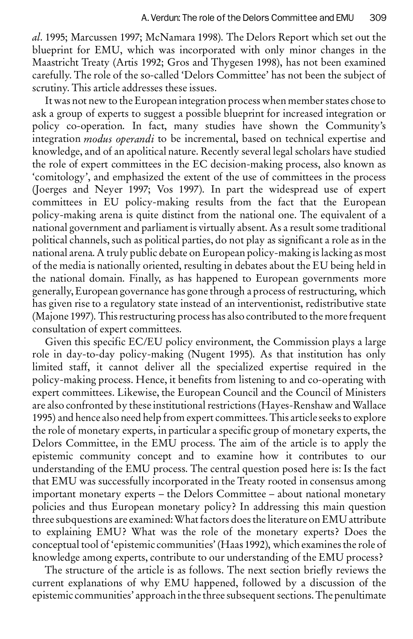*al*. 1995; Marcussen 1997; McNamara 1998). The Delors Report which set out the blueprint for EMU, which was incorporated with only minor changes in the Maastricht Treaty (Artis 1992; Gros and Thygesen 1998), has not been examined carefully. The role of the so-called 'Delors Committee' has not been the subject of scrutiny. This article addresses these issues.

It was not new to the European integration process when member states chose to ask a group of experts to suggest a possible blueprint for increased integration or policy co-operation. In fact, many studies have shown the Community's integration *modus operandi* to be incremental, based on technical expertise and knowledge, and of an apolitical nature. Recently several legal scholars have studied the role of expert committees in the EC decision-making process, also known as 'comitology', and emphasized the extent of the use of committees in the process (Joerges and Neyer 1997; Vos 1997). In part the widespread use of expert committees in EU policy-making results from the fact that the European policy-making arena is quite distinct from the national one. The equivalent of a national government and parliament is virtually absent. As a result some traditional political channels, such as political parties, do not play as significant a role as in the national arena. A truly public debate on European policy-making is lacking as most of the media is nationally oriented, resulting in debates about the EU being held in the national domain. Finally, as has happened to European governments more generally, European governance has gone through a process of restructuring, which has given rise to a regulatory state instead of an interventionist, redistributive state (Majone 1997). This restructuring process has also contributed to the more frequent consultation of expert committees.

Given this specific EC/EU policy environment, the Commission plays a large role in day-to-day policy-making (Nugent 1995). As that institution has only limited staff, it cannot deliver all the specialized expertise required in the policy-making process. Hence, it benefits from listening to and co-operating with expert committees. Likewise, the European Council and the Council of Ministers are also confronted by these institutional restrictions (Hayes-Renshaw and Wallace 1995) and hence also need help from expert committees. This article seeks to explore the role of monetary experts, in particular a specific group of monetary experts, the Delors Committee, in the EMU process. The aim of the article is to apply the epistemic community concept and to examine how it contributes to our understanding of the EMU process. The central question posed here is: Is the fact that EMU was successfully incorporated in the Treaty rooted in consensus among important monetary experts – the Delors Committee – about national monetary policies and thus European monetary policy? In addressing this main question three subquestions are examined: What factors does the literature on EMU attribute to explaining EMU? What was the role of the monetary experts? Does the conceptual tool of 'epistemic communities'(Haas 1992), which examines the role of knowledge among experts, contribute to our understanding of the EMU process?

The structure of the article is as follows. The next section briefly reviews the current explanations of why EMU happened, followed by a discussion of the epistemic communities' approach in the three subsequent sections. The penultimate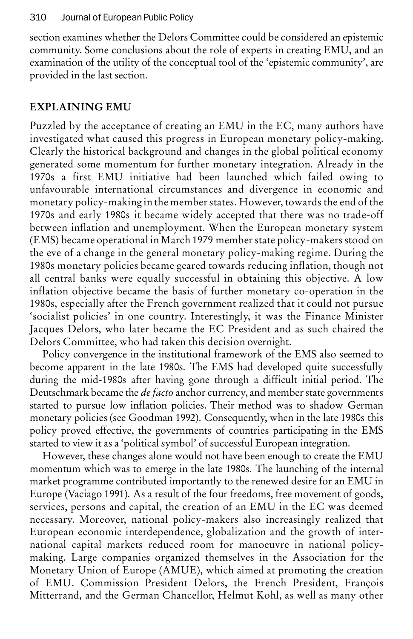section examines whether the Delors Committee could be considered an epistemic community. Some conclusions about the role of experts in creating EMU, and an examination of the utility of the conceptual tool of the 'epistemic community', are provided in the last section.

#### **EXPLAINING EMU**

Puzzled by the acceptance of creating an EMU in the EC, many authors have investigated what caused this progress in European monetary policy-making. Clearly the historical background and changes in the global political economy generated some momentum for further monetary integration. Already in the 1970s a first EMU initiative had been launched which failed owing to unfavourable international circumstances and divergence in economic and monetary policy-making in the member states. However, towards the end of the 1970s and early 1980s it became widely accepted that there was no trade-off between inflation and unemployment. When the European monetary system (EMS) became operational in March 1979 member state policy-makers stood on the eve of a change in the general monetary policy-making regime. During the 1980s monetary policies became geared towards reducing inflation, though not all central banks were equally successful in obtaining this objective. A low inflation objective became the basis of further monetary co-operation in the 1980s, especially after the French government realized that it could not pursue 'socialist policies' in one country. Interestingly, it was the Finance Minister Jacques Delors, who later became the EC President and as such chaired the Delors Committee, who had taken this decision overnight.

Policy convergence in the institutional framework of the EMS also seemed to become apparent in the late 1980s. The EMS had developed quite successfully during the mid-1980s after having gone through a difficult initial period. The Deutschmark became the *de facto* anchor currency, and member state governments started to pursue low inflation policies. Their method was to shadow German monetary policies (see Goodman 1992). Consequently, when in the late 1980s this policy proved effective, the governments of countries participating in the EMS started to view it as a 'political symbol' of successful European integration.

However, these changes alone would not have been enough to create the EMU momentum which was to emerge in the late 1980s. The launching of the internal market programme contributed importantly to the renewed desire for an EMU in Europe (Vaciago 1991). As a result of the four freedoms, free movement of goods, services, persons and capital, the creation of an EMU in the EC was deemed necessary. Moreover, national policy-makers also increasingly realized that European economic interdependence, globalization and the growth of inter national capital markets reduced room for manoeuvre in national policy making. Large companies organized themselves in the Association for the Monetary Union of Europe (AMUE), which aimed at promoting the creation of EMU. Commission President Delors, the French President, François Mitterrand, and the German Chancellor, Helmut Kohl, as well as many other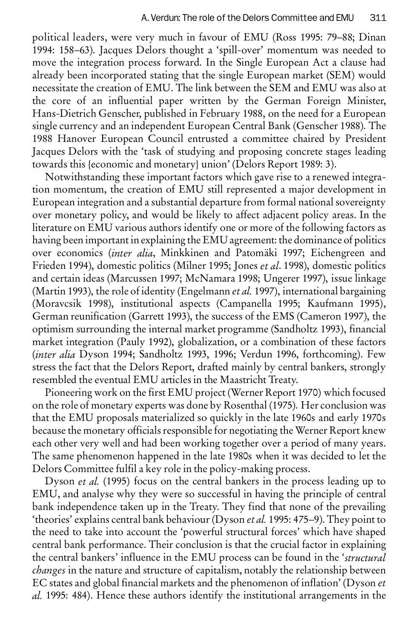political leaders, were very much in favour of EMU (Ross 1995: 79–88; Dinan 1994: 158–63). Jacques Delors thought a 'spill-over' momentum was needed to move the integration process forward. In the Single European Act a clause had already been incorporated stating that the single European market (SEM) would necessitate the creation of EMU. The link between the SEM and EMU was also at the core of an influential paper written by the German Foreign Minister, Hans-Dietrich Genscher, published in February 1988, on the need for a European single currency and an independent European Central Bank (Genscher 1988). The 1988 Hanover European Council entrusted a committee chaired by President Jacques Delors with the 'task of studying and proposing concrete stages leading towards this {economic and monetary} union' (Delors Report 1989: 3).

Notwithstanding these important factors which gave rise to a renewed integration momentum, the creation of EMU still represented a major development in European integration and a substantial departure from formal national sovereignty over monetary policy, and would be likely to affect adjacent policy areas. In the literature on EMU various authors identify one or more of the following factors as having been important in explaining the EMU agreement: the dominance of politics over economics (*inter alia*, Minkkinen and Patomäki 1997; Eichengreen and Frieden 1994), domestic politics (Milner 1995; Jones *et al*. 1998), domestic politics and certain ideas (Marcussen 1997; McNamara 1998; Ungerer 1997), issue linkage (Martin 1993), the role of identity (Engelmann *et al.* 1997), international bargaining (Moravcsik 1998), institutional aspects (Campanella 1995; Kaufmann 1995), German reunification (Garrett 1993), the success of the EMS (Cameron 1997), the optimism surrounding the internal market programme (Sandholtz 1993), financial market integration (Pauly 1992), globalization, or a combination of these factors (*inter alia* Dyson 1994; Sandholtz 1993, 1996; Verdun 1996, forthcoming). Few stress the fact that the Delors Report, drafted mainly by central bankers, strongly resembled the eventual EMU articles in the Maastricht Treaty.

Pioneering work on the first EMU project (Werner Report 1970) which focused on the role of monetary experts was done by Rosenthal (1975). Her conclusion was that the EMU proposals materialized so quickly in the late 1960s and early 1970s because the monetary officials responsible for negotiating the Werner Report knew each other very well and had been working together over a period of many years. The same phenomenon happened in the late 1980s when it was decided to let the Delors Committee fulfil a key role in the policy-making process.

Dyson *et al.* (1995) focus on the central bankers in the process leading up to EMU, and analyse why they were so successful in having the principle of central bank independence taken up in the Treaty. They find that none of the prevailing 'theories' explains central bank behaviour (Dyson *et al.* 1995: 475–9). They point to the need to take into account the 'powerful structural forces' which have shaped central bank performance. Their conclusion is that the crucial factor in explaining the central bankers' influence in the EMU process can be found in the '*structural changes* in the nature and structure of capitalism, notably the relationship between EC states and global financial markets and the phenomenon of inflation' (Dyson *et al.* 1995: 484). Hence these authors identify the institutional arrangements in the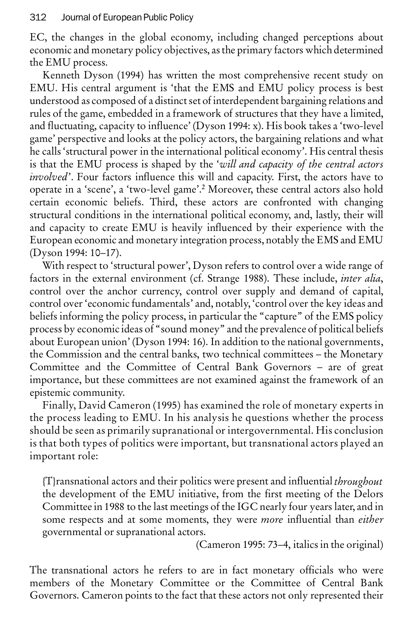EC, the changes in the global economy, including changed perceptions about economic and monetary policy objectives, as the primary factors which determined the EMU process.

Kenneth Dyson (1994) has written the most comprehensive recent study on EMU. His central argument is 'that the EMS and EMU policy process is best understood as composed of a distinct set of interdependent bargaining relations and rules of the game, embedded in a framework of structures that they have a limited, and fluctuating, capacity to influence' (Dyson 1994: x). His book takes a 'two-level game' perspective and looks at the policy actors, the bargaining relations and what he calls 'structural power in the international political economy'. His central thesis is that the EMU process is shaped by the '*will and capacity of the central actors involved*'. Four factors influence this will and capacity. First, the actors have to operate in a 'scene', a 'two-level game'.<sup>2</sup> Moreover, these central actors also hold certain economic beliefs. Third, these actors are confronted with changing structural conditions in the international political economy, and, lastly, their will and capacity to create EMU is heavily influenced by their experience with the European economic and monetary integration process, notably the EMS and EMU (Dyson 1994: 10–17).

With respect to 'structural power', Dyson refers to control over a wide range of factors in the external environment (cf. Strange 1988). These include, *inter alia*, control over the anchor currency, control over supply and demand of capital, control over 'economic fundamentals' and, notably, 'control over the key ideas and beliefs informing the policy process, in particular the "capture" of the EMS policy process by economic ideas of "sound money" and the prevalence of political beliefs about European union' (Dyson 1994: 16). In addition to the national governments, the Commission and the central banks, two technical committees – the Monetary Committee and the Committee of Central Bank Governors – are of great importance, but these committees are not examined against the framework of an epistemic community.

Finally, David Cameron (1995) has examined the role of monetary experts in the process leading to EMU. In his analysis he questions whether the process should be seen as primarily supranational or intergovernmental. His conclusion is that both types of politics were important, but transnational actors played an important role:

{T}ransnational actors and their politics were present and influential *throughout* the development of the EMU initiative, from the first meeting of the Delors Committee in 1988 to the last meetings of the IGC nearly four years later, and in some respects and at some moments, they were *more* influential than *either* governmental or supranational actors.

(Cameron 1995: 73–4, italics in the original)

The transnational actors he refers to are in fact monetary officials who were members of the Monetary Committee or the Committee of Central Bank Governors. Cameron points to the fact that these actors not only represented their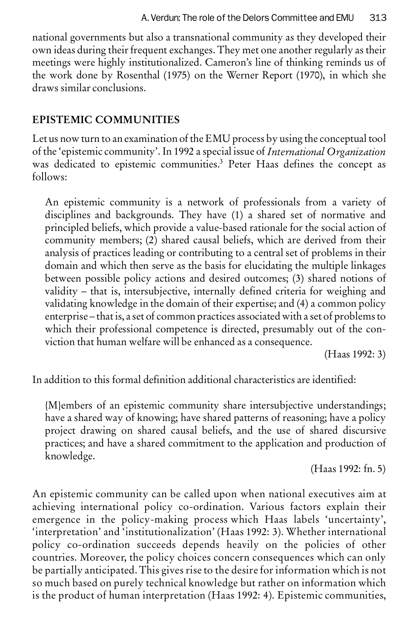national governments but also a transnational community as they developed their own ideas during their frequent exchanges. They met one another regularly as their meetings were highly institutionalized. Cameron's line of thinking reminds us of the work done by Rosenthal (1975) on the Werner Report (1970), in which she draws similar conclusions.

#### **EPISTEMIC COMMUNITIES**

Let us now turn to an examination of the EMU process by using the conceptual tool of the 'epistemic community'. In 1992 a special issue of *International Organization* was dedicated to epistemic communities.<sup>3</sup> Peter Haas defines the concept as follows:

An epistemic community is a network of professionals from a variety of disciplines and backgrounds. They have (1) a shared set of normative and principled beliefs, which provide a value-based rationale for the social action of community members; (2) shared causal beliefs, which are derived from their analysis of practices leading or contributing to a central set of problems in their domain and which then serve as the basis for elucidating the multiple linkages between possible policy actions and desired outcomes; (3) shared notions of validity – that is, intersubjective, internally defined criteria for weighing and validating knowledge in the domain of their expertise; and (4) a common policy enterprise – that is, a set of common practices associated with a set of problems to which their professional competence is directed, presumably out of the con viction that human welfare will be enhanced as a consequence.

(Haas 1992: 3)

In addition to this formal definition additional characteristics are identified:

{M}embers of an epistemic community share intersubjective understandings; have a shared way of knowing; have shared patterns of reasoning; have a policy project drawing on shared causal beliefs, and the use of shared discursive practices; and have a shared commitment to the application and production of knowledge.

(Haas 1992: fn. 5)

An epistemic community can be called upon when national executives aim at achieving international policy co-ordination. Various factors explain their emergence in the policy-making process which Haas labels 'uncertainty', 'interpretation' and 'institutionalization' (Haas 1992: 3). Whether international policy co-ordination succeeds depends heavily on the policies of other countries. Moreover, the policy choices concern consequences which can only be partially anticipated. This gives rise to the desire for information which is not so much based on purely technical knowledge but rather on information which is the product of human interpretation (Haas 1992: 4). Epistemic communities,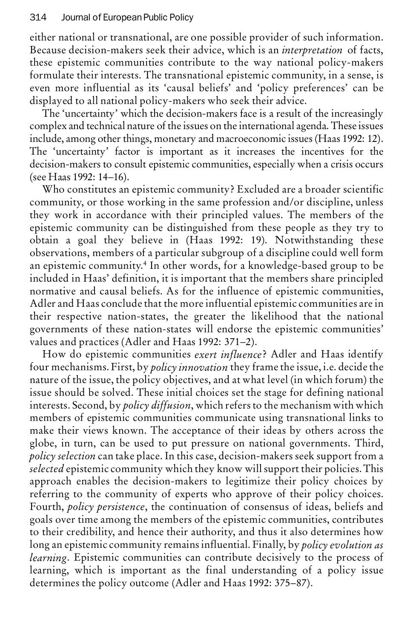either national or transnational, are one possible provider of such information. Because decision-makers seek their advice, which is an *interpretation* of facts, these epistemic communities contribute to the way national policy-makers formulate their interests. The transnational epistemic community, in a sense, is even more influential as its 'causal beliefs' and 'policy preferences' can be displayed to all national policy-makers who seek their advice.

The 'uncertainty' which the decision-makers face is a result of the increasingly complex and technical nature of the issues on the international agenda. These issues include, among other things, monetary and macroeconomic issues (Haas 1992: 12). The 'uncertainty' factor is important as it increases the incentives for the decision-makers to consult epistemic communities, especially when a crisis occurs (see Haas 1992: 14–16).

Who constitutes an epistemic community? Excluded are a broader scientific community, or those working in the same profession and/or discipline, unless they work in accordance with their principled values. The members of the epistemic community can be distinguished from these people as they try to obtain a goal they believe in (Haas 1992: 19). Notwithstanding these observations, members of a particular subgroup of a discipline could well form an epistemic community.<sup>4</sup> In other words, for a knowledge-based group to be included in Haas' definition, it is important that the members share principled normative and causal beliefs. As for the influence of epistemic communities, Adler and Haas conclude that the more influential epistemic communities are in their respective nation-states, the greater the likelihood that the national governments of these nation-states will endorse the epistemic communities' values and practices (Adler and Haas 1992: 371–2).

How do epistemic communities *exert influence*? Adler and Haas identify four mechanisms. First, by *policy innovation* they frame the issue, i.e. decide the nature of the issue, the policy objectives, and at what level (in which forum) the issue should be solved. These initial choices set the stage for defining national interests. Second, by *policy diffusion*, which refers to the mechanism with which members of epistemic communities communicate using transnational links to make their views known. The acceptance of their ideas by others across the globe, in turn, can be used to put pressure on national governments. Third, *policy selection* can take place. In this case, decision-makers seek support from a *selected* epistemic community which they know will support their policies. This approach enables the decision-makers to legitimize their policy choices by referring to the community of experts who approve of their policy choices. Fourth, *policy persistence*, the continuation of consensus of ideas, beliefs and goals over time among the members of the epistemic communities, contributes to their credibility, and hence their authority, and thus it also determines how long an epistemic community remains influential. Finally, by *policy evolution as learning*. Epistemic communities can contribute decisively to the process of learning, which is important as the final understanding of a policy issue determines the policy outcome (Adler and Haas 1992: 375–87).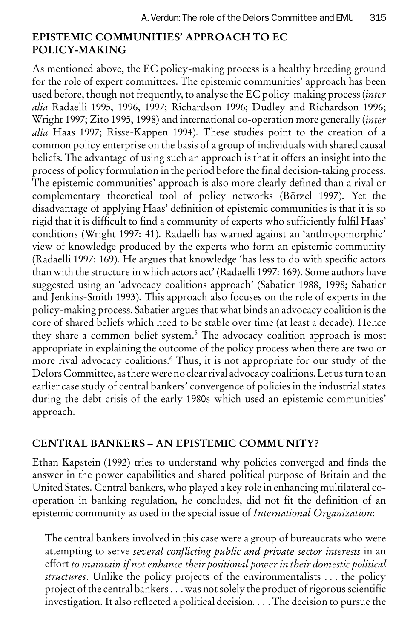### **EPISTEMIC COMMUNITIES' APPROACH TO EC POLICY-MAKING**

As mentioned above, the EC policy-making process is a healthy breeding ground for the role of expert committees. The epistemic communities' approach has been used before, though not frequently, to analyse the EC policy-making process (*inter alia* Radaelli 1995, 1996, 1997; Richardson 1996; Dudley and Richardson 1996; Wright 1997; Zito 1995, 1998) and international co-operation more generally (*inter alia* Haas 1997; Risse-Kappen 1994). These studies point to the creation of a common policy enterprise on the basis of a group of individuals with shared causal beliefs. The advantage of using such an approach is that it offers an insight into the process of policy formulation in the period before the final decision-taking process. The epistemic communities' approach is also more clearly defined than a rival or complementary theoretical tool of policy networks (Börzel 1997). Yet the disadvantage of applying Haas' definition of epistemic communities is that it is so rigid that it is difficult to find a community of experts who sufficiently fulfil Haas' conditions (Wright 1997: 41). Radaelli has warned against an 'anthropomorphic' view of knowledge produced by the experts who form an epistemic community (Radaelli 1997: 169). He argues that knowledge 'has less to do with specific actors than with the structure in which actors act' (Radaelli 1997: 169). Some authors have suggested using an 'advocacy coalitions approach' (Sabatier 1988, 1998; Sabatier and Jenkins-Smith 1993). This approach also focuses on the role of experts in the policy-making process. Sabatier argues that what binds an advocacy coalition is the core of shared beliefs which need to be stable over time (at least a decade). Hence they share a common belief system.<sup>5</sup> The advocacy coalition approach is most appropriate in explaining the outcome of the policy process when there are two or more rival advocacy coalitions.<sup>6</sup> Thus, it is not appropriate for our study of the Delors Committee, as there were no clear rival advocacy coalitions. Let us turn to an earlier case study of central bankers' convergence of policies in the industrial states during the debt crisis of the early 1980s which used an epistemic communities' approach.

### **CENTRAL BANKERS – AN EPISTEMIC COMMUNITY?**

Ethan Kapstein (1992) tries to understand why policies converged and finds the answer in the power capabilities and shared political purpose of Britain and the United States. Central bankers, who played a key role in enhancing multilateral co operation in banking regulation, he concludes, did not fit the definition of an epistemic community as used in the special issue of *International Organization*:

The central bankers involved in this case were a group of bureaucrats who were attempting to serve *several conflicting public and private sector interests* in an effort *to maintain if not enhance their positional power in their domestic political structures*. Unlike the policy projects of the environmentalists . . . the policy project of the central bankers . . . was not solely the product of rigorous scientific investigation. It also reflected a political decision. . . . The decision to pursue the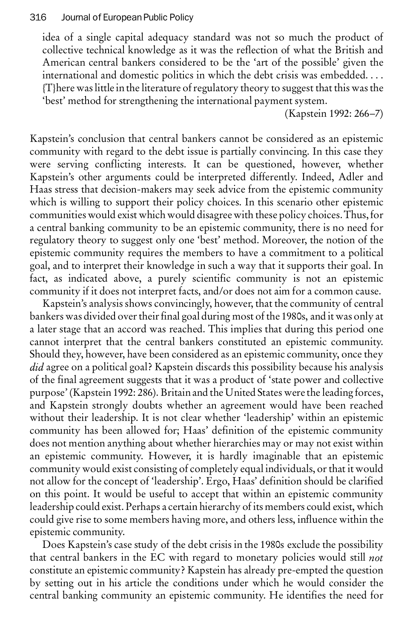idea of a single capital adequacy standard was not so much the product of collective technical knowledge as it was the reflection of what the British and American central bankers considered to be the 'art of the possible' given the international and domestic politics in which the debt crisis was embedded. . . . {T}here was little in the literature of regulatory theory to suggest that this was the 'best' method for strengthening the international payment system.

(Kapstein 1992: 266–7)

Kapstein's conclusion that central bankers cannot be considered as an epistemic community with regard to the debt issue is partially convincing. In this case they were serving conflicting interests. It can be questioned, however, whether Kapstein's other arguments could be interpreted differently. Indeed, Adler and Haas stress that decision-makers may seek advice from the epistemic community which is willing to support their policy choices. In this scenario other epistemic communities would exist which would disagree with these policy choices. Thus, for a central banking community to be an epistemic community, there is no need for regulatory theory to suggest only one 'best' method. Moreover, the notion of the epistemic community requires the members to have a commitment to a political goal, and to interpret their knowledge in such a way that it supports their goal. In fact, as indicated above, a purely scientific community is not an epistemic community if it does not interpret facts, and/or does not aim for a common cause.

Kapstein's analysis shows convincingly, however, that the community of central bankers was divided over their final goal during most of the 1980s, and it was only at a later stage that an accord was reached. This implies that during this period one cannot interpret that the central bankers constituted an epistemic community. Should they, however, have been considered as an epistemic community, once they *did* agree on a political goal? Kapstein discards this possibility because his analysis of the final agreement suggests that it was a product of 'state power and collective purpose'(Kapstein 1992: 286). Britain and the United States were the leading forces, and Kapstein strongly doubts whether an agreement would have been reached without their leadership. It is not clear whether 'leadership' within an epistemic community has been allowed for; Haas' definition of the epistemic community does not mention anything about whether hierarchies may or may not exist within an epistemic community. However, it is hardly imaginable that an epistemic community would exist consisting of completely equal individuals, or that it would not allow for the concept of 'leadership'. Ergo, Haas' definition should be clarified on this point. It would be useful to accept that within an epistemic community leadership could exist. Perhaps a certain hierarchy of its members could exist, which could give rise to some members having more, and others less, influence within the epistemic community.

Does Kapstein's case study of the debt crisis in the 1980s exclude the possibility that central bankers in the EC with regard to monetary policies would still *not* constitute an epistemic community? Kapstein has already pre-empted the question by setting out in his article the conditions under which he would consider the central banking community an epistemic community. He identifies the need for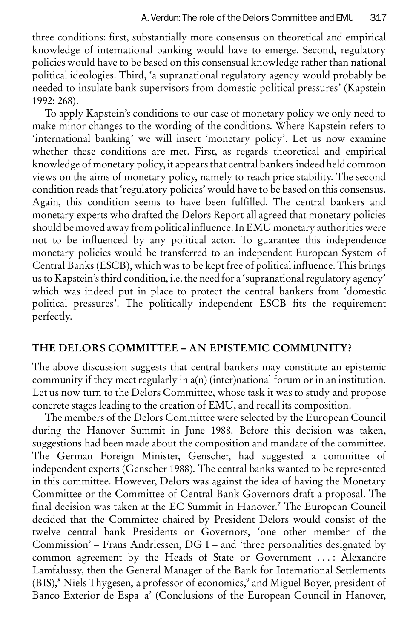three conditions: first, substantially more consensus on theoretical and empirical knowledge of international banking would have to emerge. Second, regulatory policies would have to be based on this consensual knowledge rather than national political ideologies. Third, 'a supranational regulatory agency would probably be needed to insulate bank supervisors from domestic political pressures' (Kapstein 1992: 268).

To apply Kapstein's conditions to our case of monetary policy we only need to make minor changes to the wording of the conditions. Where Kapstein refers to 'international banking' we will insert 'monetary policy'. Let us now examine whether these conditions are met. First, as regards theoretical and empirical knowledge of monetary policy, it appears that central bankers indeed held common views on the aims of monetary policy, namely to reach price stability. The second condition reads that 'regulatory policies' would have to be based on this consensus. Again, this condition seems to have been fulfilled. The central bankers and monetary experts who drafted the Delors Report all agreed that monetary policies should be moved away from political influence. In EMU monetary authorities were not to be influenced by any political actor. To guarantee this independence monetary policies would be transferred to an independent European System of Central Banks (ESCB), which was to be kept free of political influence. This brings us to Kapstein's third condition, i.e. the need for a 'supranational regulatory agency' which was indeed put in place to protect the central bankers from 'domestic political pressures'. The politically independent ESCB fits the requirement perfectly.

#### **THE DELORS COMMITTEE – AN EPISTEMIC COMMUNITY?**

The above discussion suggests that central bankers may constitute an epistemic community if they meet regularly in a(n) (inter)national forum or in an institution. Let us now turn to the Delors Committee, whose task it was to study and propose concrete stages leading to the creation of EMU, and recall its composition.

The members of the Delors Committee were selected by the European Council during the Hanover Summit in June 1988. Before this decision was taken, suggestions had been made about the composition and mandate of the committee. The German Foreign Minister, Genscher, had suggested a committee of independent experts (Genscher 1988). The central banks wanted to be represented in this committee. However, Delors was against the idea of having the Monetary Committee or the Committee of Central Bank Governors draft a proposal. The final decision was taken at the EC Summit in Hanover.<sup>7</sup> The European Council decided that the Committee chaired by President Delors would consist of the twelve central bank Presidents or Governors, 'one other member of the Commission' – Frans Andriessen, DG I – and 'three personalities designated by common agreement by the Heads of State or Government ...: Alexandre Lamfalussy, then the General Manager of the Bank for International Settlements (BIS),<sup>8</sup> Niels Thygesen, a professor of economics,<sup>9</sup> and Miguel Boyer, president of Banco Exterior de Espa a' (Conclusions of the European Council in Hanover,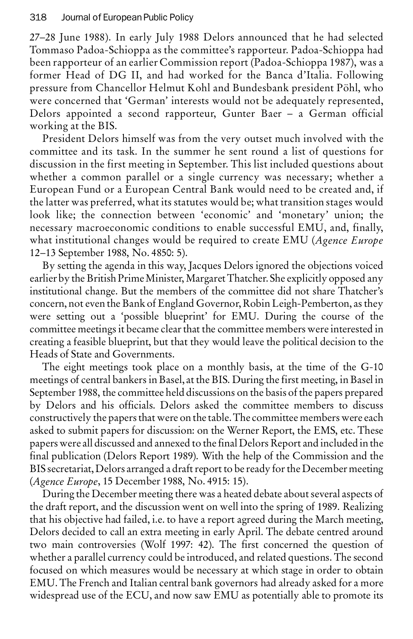27–28 June 1988). In early July 1988 Delors announced that he had selected Tommaso Padoa-Schioppa as the committee's rapporteur. Padoa-Schioppa had been rapporteur of an earlier Commission report (Padoa-Schioppa 1987), was a former Head of DG II, and had worked for the Banca d'Italia. Following pressure from Chancellor Helmut Kohl and Bundesbank president Pöhl, who were concerned that 'German' interests would not be adequately represented, Delors appointed a second rapporteur, Gunter Baer – a German official working at the BIS.

President Delors himself was from the very outset much involved with the committee and its task. In the summer he sent round a list of questions for discussion in the first meeting in September. This list included questions about whether a common parallel or a single currency was necessary; whether a European Fund or a European Central Bank would need to be created and, if the latter was preferred, what its statutes would be; what transition stages would look like; the connection between 'economic' and 'monetary' union; the necessary macroeconomic conditions to enable successful EMU, and, finally, what institutional changes would be required to create EMU (*Agence Europe* 12–13 September 1988, No. 4850: 5).

By setting the agenda in this way, Jacques Delors ignored the objections voiced earlier by the British Prime Minister, Margaret Thatcher. She explicitly opposed any institutional change. But the members of the committee did not share Thatcher's concern, not even the Bank of England Governor, Robin Leigh-Pemberton, as they were setting out a 'possible blueprint' for EMU. During the course of the committee meetings it became clear that the committee members were interested in creating a feasible blueprint, but that they would leave the political decision to the Heads of State and Governments.

The eight meetings took place on a monthly basis, at the time of the G-10 meetings of central bankers in Basel, at the BIS. During the first meeting, in Basel in September 1988, the committee held discussions on the basis of the papers prepared by Delors and his officials. Delors asked the committee members to discuss constructively the papers that were on the table. The committee members were each asked to submit papers for discussion: on the Werner Report, the EMS, etc. These papers were all discussed and annexed to the final Delors Report and included in the final publication (Delors Report 1989). With the help of the Commission and the BIS secretariat, Delors arranged a draft report to be ready for the December meeting (*Agence Europe*, 15 December 1988, No. 4915: 15).

During the December meeting there was a heated debate about several aspects of the draft report, and the discussion went on well into the spring of 1989. Realizing that his objective had failed, i.e. to have a report agreed during the March meeting, Delors decided to call an extra meeting in early April. The debate centred around two main controversies (Wolf 1997: 42). The first concerned the question of whether a parallel currency could be introduced, and related questions. The second focused on which measures would be necessary at which stage in order to obtain EMU. The French and Italian central bank governors had already asked for a more widespread use of the ECU, and now saw EMU as potentially able to promote its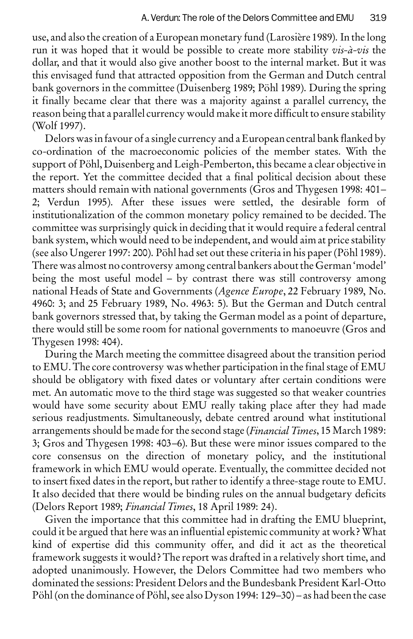use, and also the creation of a European monetary fund (Larosière 1989). In the long run it was hoped that it would be possible to create more stability *vis-à-vis* the dollar, and that it would also give another boost to the internal market. But it was this envisaged fund that attracted opposition from the German and Dutch central bank governors in the committee (Duisenberg 1989; Pöhl 1989). During the spring it finally became clear that there was a majority against a parallel currency, the reason being that a parallel currency would make it more difficult to ensure stability (Wolf 1997).

Delors was in favour of a single currency and a European central bank flanked by co-ordination of the macroeconomic policies of the member states. With the support of Pöhl, Duisenberg and Leigh-Pemberton, this became a clear objective in the report. Yet the committee decided that a final political decision about these matters should remain with national governments (Gros and Thygesen 1998: 401– 2; Verdun 1995). After these issues were settled, the desirable form of institutionalization of the common monetary policy remained to be decided. The committee was surprisingly quick in deciding that it would require a federal central bank system, which would need to be independent, and would aim at price stability (see also Ungerer 1997: 200). Pöhl had set out these criteria in his paper (Pöhl 1989). There was almost no controversy among central bankers about the German 'model' being the most useful model – by contrast there was still controversy among national Heads of State and Governments (*Agence Europe*, 22 February 1989, No. 4960: 3; and 25 February 1989, No. 4963: 5). But the German and Dutch central bank governors stressed that, by taking the German model as a point of departure, there would still be some room for national governments to manoeuvre (Gros and Thygesen 1998: 404).

During the March meeting the committee disagreed about the transition period to EMU. The core controversy was whether participation in the final stage of EMU should be obligatory with fixed dates or voluntary after certain conditions were met. An automatic move to the third stage was suggested so that weaker countries would have some security about EMU really taking place after they had made serious readjustments. Simultaneously, debate centred around what institutional arrangements should be made for the second stage (*Financial Times*, 15 March 1989: 3; Gros and Thygesen 1998: 403–6). But these were minor issues compared to the core consensus on the direction of monetary policy, and the institutional framework in which EMU would operate. Eventually, the committee decided not to insert fixed dates in the report, but rather to identify a three-stage route to EMU. It also decided that there would be binding rules on the annual budgetary deficits (Delors Report 1989; *Financial Times*, 18 April 1989: 24).

Given the importance that this committee had in drafting the EMU blueprint, could it be argued that here was an influential epistemic community at work? What kind of expertise did this community offer, and did it act as the theoretical framework suggests it would? The report was drafted in a relatively short time, and adopted unanimously. However, the Delors Committee had two members who dominated the sessions: President Delors and the Bundesbank President Karl-Otto Pöhl (on the dominance of Pöhl, see also Dyson 1994: 129–30) – as had been the case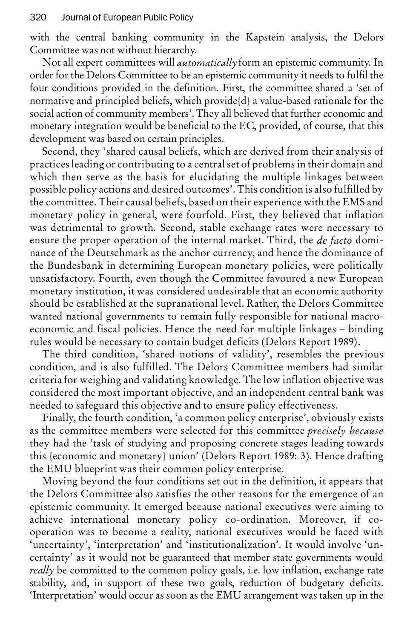with the central banking community in the Kapstein analysis, the Delors Committee was not without hierarchy.

Not all expert committees will *automatically*form an epistemic community. In order for the Delors Committee to be an epistemic community it needs to fulfil the four conditions provided in the definition. First, the committee shared a 'set of normative and principled beliefs, which provide{d} a value-based rationale for the social action of community members'. They all believed that further economic and monetary integration would be beneficial to the EC, provided, of course, that this development was based on certain principles.

Second, they 'shared causal beliefs, which are derived from their analysis of practices leading or contributing to a central set of problems in their domain and which then serve as the basis for elucidating the multiple linkages between possible policy actions and desired outcomes'. This condition is also fulfilled by the committee. Their causal beliefs, based on their experience with the EMS and monetary policy in general, were fourfold. First, they believed that inflation was detrimental to growth. Second, stable exchange rates were necessary to ensure the proper operation of the internal market. Third, the *de facto* dominance of the Deutschmark as the anchor currency, and hence the dominance of the Bundesbank in determining European monetary policies, were politically unsatisfactory. Fourth, even though the Committee favoured a new European monetary institution, it was considered undesirable that an economic authority should be established at the supranational level. Rather, the Delors Committee wanted national governments to remain fully responsible for national macro economic and fiscal policies. Hence the need for multiple linkages – binding rules would be necessary to contain budget deficits (Delors Report 1989).

The third condition, 'shared notions of validity', resembles the previous condition, and is also fulfilled. The Delors Committee members had similar criteria for weighing and validating knowledge. The low inflation objective was considered the most important objective, and an independent central bank was needed to safeguard this objective and to ensure policy effectiveness.

Finally, the fourth condition, 'a common policy enterprise', obviously exists as the committee members were selected for this committee *precisely because* they had the 'task of studying and proposing concrete stages leading towards this {economic and monetary} union' (Delors Report 1989: 3). Hence drafting the EMU blueprint was their common policy enterprise.

Moving beyond the four conditions set out in the definition, it appears that the Delors Committee also satisfies the other reasons for the emergence of an epistemic community. It emerged because national executives were aiming to achieve international monetary policy co-ordination. Moreover, if co operation was to become a reality, national executives would be faced with 'uncertainty', 'interpretation' and 'institutionalization'. It would involve 'un certainty' as it would not be guaranteed that member state governments would *really* be committed to the common policy goals, i.e. low inflation, exchange rate stability, and, in support of these two goals, reduction of budgetary deficits. 'Interpretation' would occur as soon as the EMU arrangement was taken up in the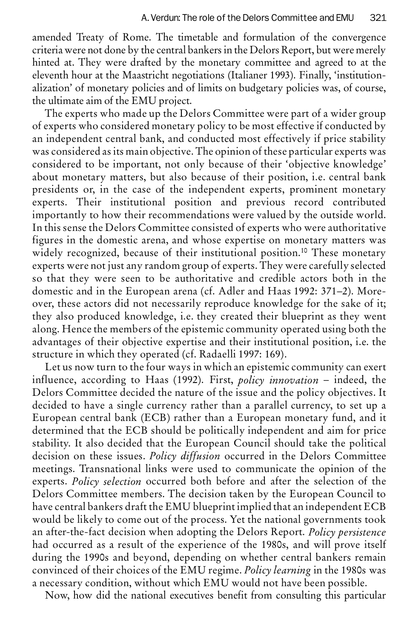amended Treaty of Rome. The timetable and formulation of the convergence criteria were not done by the central bankers in the Delors Report, but were merely hinted at. They were drafted by the monetary committee and agreed to at the eleventh hour at the Maastricht negotiations (Italianer 1993). Finally, 'institution alization' of monetary policies and of limits on budgetary policies was, of course, the ultimate aim of the EMU project.

The experts who made up the Delors Committee were part of a wider group of experts who considered monetary policy to be most effective if conducted by an independent central bank, and conducted most effectively if price stability was considered as its main objective. The opinion of these particular experts was considered to be important, not only because of their 'objective knowledge' about monetary matters, but also because of their position, i.e. central bank presidents or, in the case of the independent experts, prominent monetary experts. Their institutional position and previous record contributed importantly to how their recommendations were valued by the outside world. In this sense the Delors Committee consisted of experts who were authoritative figures in the domestic arena, and whose expertise on monetary matters was widely recognized, because of their institutional position.<sup>10</sup> These monetary experts were not just any random group of experts. They were carefully selected so that they were seen to be authoritative and credible actors both in the domestic and in the European arena (cf. Adler and Haas 1992: 371–2). More over, these actors did not necessarily reproduce knowledge for the sake of it; they also produced knowledge, i.e. they created their blueprint as they went along. Hence the members of the epistemic community operated using both the advantages of their objective expertise and their institutional position, i.e. the structure in which they operated (cf. Radaelli 1997: 169).

Let us now turn to the four ways in which an epistemic community can exert influence, according to Haas (1992). First, *policy innovation* – indeed, the Delors Committee decided the nature of the issue and the policy objectives. It decided to have a single currency rather than a parallel currency, to set up a European central bank (ECB) rather than a European monetary fund, and it determined that the ECB should be politically independent and aim for price stability. It also decided that the European Council should take the political decision on these issues. *Policy diffusion* occurred in the Delors Committee meetings. Transnational links were used to communicate the opinion of the experts. *Policy selection* occurred both before and after the selection of the Delors Committee members. The decision taken by the European Council to have central bankers draft the EMU blueprint implied that an independent ECB would be likely to come out of the process. Yet the national governments took an after-the-fact decision when adopting the Delors Report. *Policy persistence* had occurred as a result of the experience of the 1980s, and will prove itself during the 1990s and beyond, depending on whether central bankers remain convinced of their choices of the EMU regime. *Policy learning* in the 1980s was a necessary condition, without which EMU would not have been possible.

Now, how did the national executives benefit from consulting this particular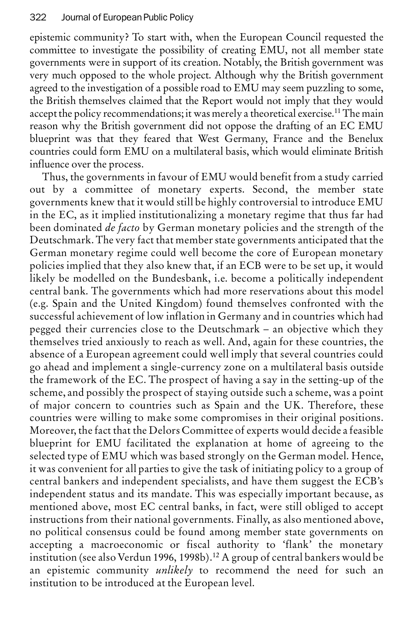epistemic community? To start with, when the European Council requested the committee to investigate the possibility of creating EMU, not all member state governments were in support of its creation. Notably, the British government was very much opposed to the whole project. Although why the British government agreed to the investigation of a possible road to EMU may seem puzzling to some, the British themselves claimed that the Report would not imply that they would accept the policy recommendations; it was merely a theoretical exercise.<sup>11</sup> The main reason why the British government did not oppose the drafting of an EC EMU blueprint was that they feared that West Germany, France and the Benelux countries could form EMU on a multilateral basis, which would eliminate British influence over the process.

Thus, the governments in favour of EMU would benefit from a study carried out by a committee of monetary experts. Second, the member state governments knew that it would still be highly controversial to introduce EMU in the EC, as it implied institutionalizing a monetary regime that thus far had been dominated *de facto* by German monetary policies and the strength of the Deutschmark. The very fact that member state governments anticipated that the German monetary regime could well become the core of European monetary policies implied that they also knew that, if an ECB were to be set up, it would likely be modelled on the Bundesbank, i.e. become a politically independent central bank. The governments which had more reservations about this model (e.g. Spain and the United Kingdom) found themselves confronted with the successful achievement of low inflation in Germany and in countries which had pegged their currencies close to the Deutschmark – an objective which they themselves tried anxiously to reach as well. And, again for these countries, the absence of a European agreement could well imply that several countries could go ahead and implement a single-currency zone on a multilateral basis outside the framework of the EC. The prospect of having a say in the setting-up of the scheme, and possibly the prospect of staying outside such a scheme, was a point of major concern to countries such as Spain and the UK. Therefore, these countries were willing to make some compromises in their original positions. Moreover, the fact that the Delors Committee of experts would decide a feasible blueprint for EMU facilitated the explanation at home of agreeing to the selected type of EMU which was based strongly on the German model. Hence, it was convenient for all parties to give the task of initiating policy to a group of central bankers and independent specialists, and have them suggest the ECB's independent status and its mandate. This was especially important because, as mentioned above, most EC central banks, in fact, were still obliged to accept instructions from their national governments. Finally, as also mentioned above, no political consensus could be found among member state governments on accepting a macroeconomic or fiscal authority to 'flank' the monetary institution (see also Verdun 1996, 1998b).<sup>12</sup> A group of central bankers would be an epistemic community *unlikely* to recommend the need for such an institution to be introduced at the European level.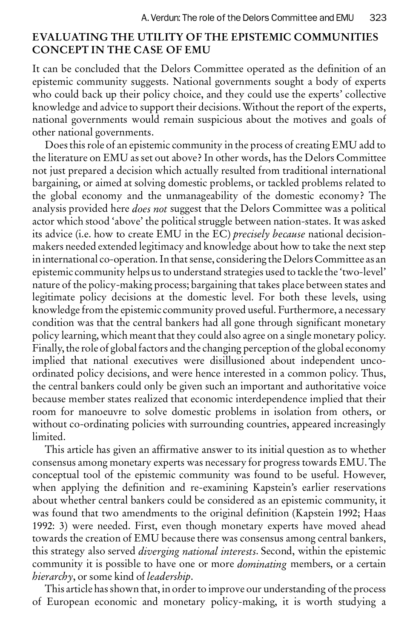#### **EVALUATING THE UTILITY OF THE EPISTEMIC COMMUNITIES CONCEPT IN THE CASE OF EMU**

It can be concluded that the Delors Committee operated as the definition of an epistemic community suggests. National governments sought a body of experts who could back up their policy choice, and they could use the experts' collective knowledge and advice to support their decisions. Without the report of the experts, national governments would remain suspicious about the motives and goals of other national governments.

Does this role of an epistemic community in the process of creating EMU add to the literature on EMU as set out above? In other words, has the Delors Committee not just prepared a decision which actually resulted from traditional international bargaining, or aimed at solving domestic problems, or tackled problems related to the global economy and the unmanageability of the domestic economy? The analysis provided here *does not* suggest that the Delors Committee was a political actor which stood 'above' the political struggle between nation-states. It was asked its advice (i.e. how to create EMU in the EC) *precisely because* national decision makers needed extended legitimacy and knowledge about how to take the next step in international co-operation. In that sense, considering the Delors Committee as an epistemic community helps us to understand strategies used to tackle the 'two-level' nature of the policy-making process; bargaining that takes place between states and legitimate policy decisions at the domestic level. For both these levels, using knowledge from the epistemic community proved useful. Furthermore, a necessary condition was that the central bankers had all gone through significant monetary policy learning, which meant that they could also agree on a single monetary policy. Finally, the role of global factors and the changing perception of the global economy implied that national executives were disillusioned about independent unco ordinated policy decisions, and were hence interested in a common policy. Thus, the central bankers could only be given such an important and authoritative voice because member states realized that economic interdependence implied that their room for manoeuvre to solve domestic problems in isolation from others, or without co-ordinating policies with surrounding countries, appeared increasingly limited.

This article has given an affirmative answer to its initial question as to whether consensus among monetary experts was necessary for progress towards EMU. The conceptual tool of the epistemic community was found to be useful. However, when applying the definition and re-examining Kapstein's earlier reservations about whether central bankers could be considered as an epistemic community, it was found that two amendments to the original definition (Kapstein 1992; Haas 1992: 3) were needed. First, even though monetary experts have moved ahead towards the creation of EMU because there was consensus among central bankers, this strategy also served *diverging national interests*. Second, within the epistemic community it is possible to have one or more *dominating* members, or a certain *hierarchy*, or some kind of *leadership*.

This article has shown that, in order to improve our understanding of the process of European economic and monetary policy-making, it is worth studying a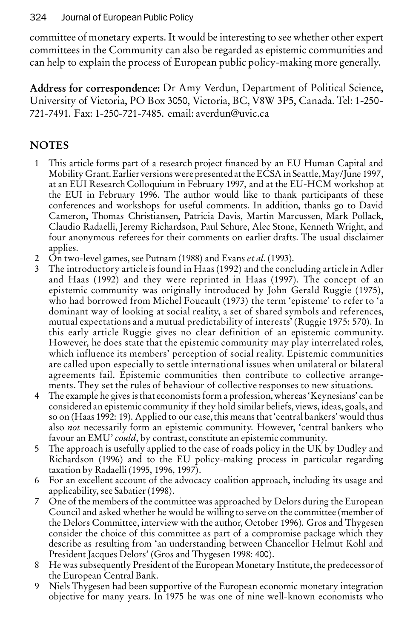committee of monetary experts. It would be interesting to see whether other expert committees in the Community can also be regarded as epistemic communities and can help to explain the process of European public policy-making more generally.

**Address for correspondence:** Dr Amy Verdun, Department of Political Science, University of Victoria, PO Box 3050, Victoria, BC, V8W 3P5, Canada. Tel: 1-250- 721-7491. Fax: 1-250-721-7485. email: averdun@uvic.ca

## **NOTES**

- 1 This article forms part of a research project financed by an EU Human Capital and Mobility Grant. Earlier versions were presented at the ECSA in Seattle, May/June 1997, at an EUI Research Colloquium in February 1997, and at the EU-HCM workshop at the EUI in February 1996. The author would like to thank participants of these conferences and workshops for useful comments. In addition, thanks go to David Cameron, Thomas Christiansen, Patricia Davis, Martin Marcussen, Mark Pollack, Claudio Radaelli, Jeremy Richardson, Paul Schure, Alec Stone, Kenneth Wright, and four anonymous referees for their comments on earlier drafts. The usual disclaimer applies.
- 2 On two-level games, see Putnam (1988) and Evans *et al*. (1993).
- 3 The introductory article is found in Haas (1992) and the concluding article in Adler and Haas (1992) and they were reprinted in Haas (1997). The concept of an epistemic community was originally introduced by John Gerald Ruggie (1975), who had borrowed from Michel Foucault (1973) the term 'episteme' to refer to 'a dominant way of looking at social reality, a set of shared symbols and references, mutual expectations and a mutual predictability of interests' (Ruggie 1975: 570). In this early article Ruggie gives no clear definition of an epistemic community. However, he does state that the epistemic community may play interrelated roles, which influence its members' perception of social reality. Epistemic communities are called upon especially to settle international issues when unilateral or bilateral agreements fail. Epistemic communities then contribute to collective arrange ments. They set the rules of behaviour of collective responses to new situations.
- 4 The example he gives is that economists form a profession, whereas 'Keynesians' can be considered an epistemic community if they hold similar beliefs, views, ideas, goals, and so on (Haas 1992: 19). Applied to our case, this means that 'central bankers'would thus also *not* necessarily form an epistemic community. However, 'central bankers who favour an EMU'*could*, by contrast, constitute an epistemic community.
- 5 The approach is usefully applied to the case of roads policy in the UK by Dudley and Richardson (1996) and to the EU policy-making process in particular regarding taxation by Radaelli (1995, 1996, 1997).
- 6 For an excellent account of the advocacy coalition approach, including its usage and applicability, see Sabatier (1998).
- 7 One of the members of the committee was approached by Delors during the European Council and asked whether he would be willing to serve on the committee (member of the Delors Committee, interview with the author, October 1996). Gros and Thygesen consider the choice of this committee as part of a compromise package which they describe as resulting from 'an understanding between Chancellor Helmut Kohl and President Jacques Delors' (Gros and Thygesen 1998: 400).
- 8 He was subsequently President of the European Monetary Institute, the predecessor of the European Central Bank.
- 9 Niels Thygesen had been supportive of the European economic monetary integration objective for many years. In 1975 he was one of nine well-known economists who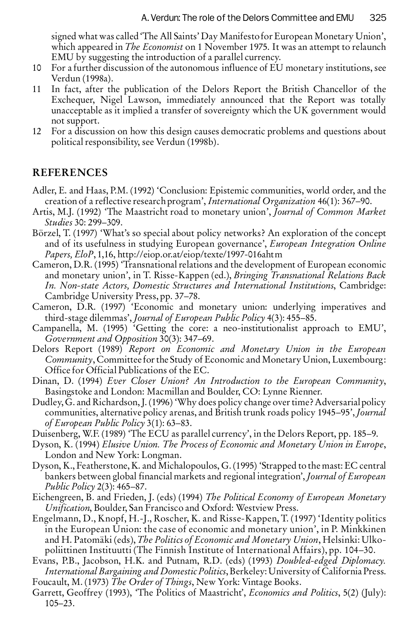signed what was called 'The All Saints' Day Manifesto for European Monetary Union', which appeared in *The Economist* on 1 November 1975. It was an attempt to relaunch EMU by suggesting the introduction of a parallel currency.

- 10 For a further discussion of the autonomous influence of EU monetary institutions, see Verdun (1998a).
- 11 In fact, after the publication of the Delors Report the British Chancellor of the Exchequer, Nigel Lawson, immediately announced that the Report was totally unacceptable as it implied a transfer of sovereignty which the UK government would not support.
- 12 For a discussion on how this design causes democratic problems and questions about political responsibility, see Verdun (1998b).

#### **REFERENCES**

- Adler, E. and Haas, P.M. (1992) 'Conclusion: Epistemic communities, world order, and the creation of a reflective research program', *International Organization* 46(1): 367–90.
- Artis, M.J. (1992) 'The Maastricht road to monetary union', *Journal of Common Market Studies* 30: 299–309.
- Börzel, T. (1997) 'What's so special about policy networks? An exploration of the concept and of its usefulness in studying European governance', *European Integration Online Papers, EloP*, 1,16, http://eiop.or.at/eiop/texte/1997-016ahtm
- Cameron, D.R. (1995) 'Transnational relations and the development of European economic and monetary union', in T. Risse-Kappen (ed.), *Bringing Transnational Relations Back In. Non-state Actors, Domestic Structures and International Institutions*, Cambridge: Cambridge University Press, pp. 37–78.
- Cameron, D.R. (1997) 'Economic and monetary union: underlying imperatives and third-stage dilemmas', *Journal of European Public Policy* 4(3): 455–85.
- Campanella, M. (1995) 'Getting the core: a neo-institutionalist approach to EMU', *Government and Opposition* 30(3): 347–69.
- Delors Report (1989) *Report on Economic and Monetary Union in the European Community*, Committee for the Study of Economic and Monetary Union, Luxembourg: Office for Official Publications of the EC.
- Dinan, D. (1994) *Ever Closer Union? An Introduction to the European Community*, Basingstoke and London: Macmillan and Boulder, CO: Lynne Rienner.
- Dudley, G. and Richardson, J. (1996) 'Why does policy change over time? Adversarial policy communities, alternative policy arenas, and British trunk roads policy 1945–95', *Journal of European Public Policy* 3(1): 63–83.
- Duisenberg, W.F. (1989) 'The ECU as parallel currency', in the Delors Report, pp. 185–9.
- Dyson, K. (1994) *Elusive Union. The Process of Economic and Monetary Union in Europe*, London and New York: Longman.
- Dyson, K., Featherstone, K. and Michalopoulos, G. (1995) 'Strapped to the mast: EC central bankers between global financial markets and regional integration', *Journal of European Public Policy* 2(3): 465–87.
- Eichengreen, B. and Frieden, J. (eds) (1994) *The Political Economy of European Monetary Unification*, Boulder, San Francisco and Oxford: Westview Press.
- Engelmann, D., Knopf, H.-J., Roscher, K. and Risse-Kappen, T. (1997) 'Identity politics in the European Union: the case of economic and monetary union', in P. Minkkinen and H. Patomäki (eds), *The Politics of Economic and Monetary Union*, Helsinki: Ulko poliittinen Instituutti (The Finnish Institute of International Affairs), pp. 104–30.
- Evans, P.B., Jacobson, H.K. and Putnam, R.D. (eds) (1993) *Doubled-edged Diplomacy. International Bargaining and Domestic Politics*, Berkeley: University of California Press.
- Foucault, M. (1973) *The Order of Things*, New York: Vintage Books.
- Garrett, Geoffrey (1993), 'The Politics of Maastricht', *Economics and Politics*, 5(2) (July): 105–23.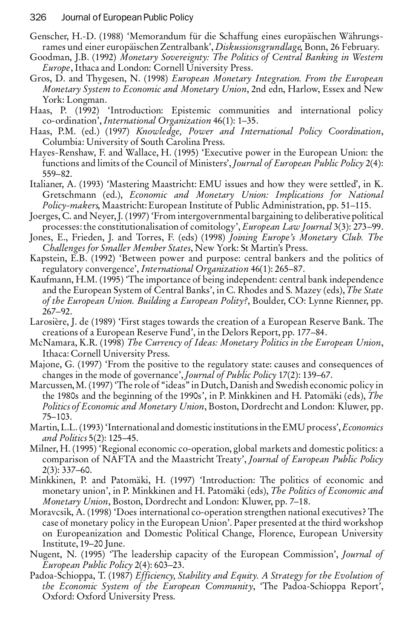- Genscher, H.-D. (1988) 'Memorandum für die Schaffung eines europäischen Währungsrames und einer europäischen Zentralbank', *Diskussionsgrundlage*, Bonn, 26 February.
- Goodman, J.B. (1992) *Monetary Sovereignty: The Politics of Central Banking in Western Europe*, Ithaca and London: Cornell University Press.
- Gros, D. and Thygesen, N. (1998) *European Monetary Integration. From the European Monetary System to Economic and Monetary Union*, 2nd edn, Harlow, Essex and New York: Longman.
- Haas, P. (1992) 'Introduction: Epistemic communities and international policy co-ordination', *International Organization* 46(1): 1–35.
- Haas, P.M. (ed.) (1997) *Knowledge, Power and International Policy Coordination*, Columbia: University of South Carolina Press.
- Hayes-Renshaw, F. and Wallace, H. (1995) 'Executive power in the European Union: the functions and limits of the Council of Ministers', *Journal of European Public Policy* 2(4): 559–82.
- Italianer, A. (1993) 'Mastering Maastricht: EMU issues and how they were settled', in K. Gretschmann (ed.), *Economic and Monetary Union: Implications for National Policy-makers*, Maastricht: European Institute of Public Administration, pp. 51–115.
- Joerges, C. and Neyer, J. (1997) 'From intergovernmental bargaining to deliberative political processes: the constitutionalisation of comitology', *European Law Journal* 3(3): 273–99.
- Jones, E., Frieden, J. and Torres, F. (eds) (1998) *Joining Europe's Monetary Club. The Challenges for Smaller Member States*, New York: St Martin's Press.
- Kapstein, E.B. (1992) 'Between power and purpose: central bankers and the politics of regulatory convergence', *International Organization* 46(1): 265–87.
- Kaufmann, H.M. (1995) 'The importance of being independent: central bank independence and the European System of Central Banks', in C. Rhodes and S. Mazey (eds), *The State of the European Union. Building a European Polity?*, Boulder, CO: Lynne Rienner, pp. 267–92.
- Larosière, J. de (1989) 'First stages towards the creation of a European Reserve Bank. The creations of a European Reserve Fund', in the Delors Report, pp. 177–84.
- McNamara, K.R. (1998) *The Currency of Ideas: Monetary Politics in the European Union*, Ithaca: Cornell University Press.
- Majone, G. (1997) 'From the positive to the regulatory state: causes and consequences of changes in the mode of governance', *Journal of Public Policy* 17(2): 139–67.
- Marcussen, M. (1997) 'The role of "ideas" in Dutch, Danish and Swedish economic policy in the 1980s and the beginning of the 1990s', in P. Minkkinen and H. Patomäki (eds), *The Politics of Economic and Monetary Union*, Boston, Dordrecht and London: Kluwer, pp. 75–103.
- Martin, L.L. (1993) 'International and domestic institutions in the EMU process', *Economics and Politics* 5(2): 125–45.
- Milner, H. (1995) 'Regional economic co-operation, global markets and domestic politics: a comparison of NAFTA and the Maastricht Treaty', *Journal of European Public Policy* 2(3): 337–60.
- Minkkinen, P. and Patomäki, H. (1997) 'Introduction: The politics of economic and monetary union', in P. Minkkinen and H. Patomäki (eds), *The Politics of Economic and Monetary Union*, Boston, Dordrecht and London: Kluwer, pp. 7–18.
- Moravcsik, A. (1998) 'Does international co-operation strengthen national executives? The case of monetary policy in the European Union'. Paper presented at the third workshop on Europeanization and Domestic Political Change, Florence, European University Institute, 19–20 June.
- Nugent, N. (1995) 'The leadership capacity of the European Commission', *Journal of European Public Policy* 2(4): 603–23.
- Padoa-Schioppa, T. (1987) *Efficiency, Stability and Equity. A Strategy for the Evolution of the Economic System of the European Community*, 'The Padoa-Schioppa Report', Oxford: Oxford University Press.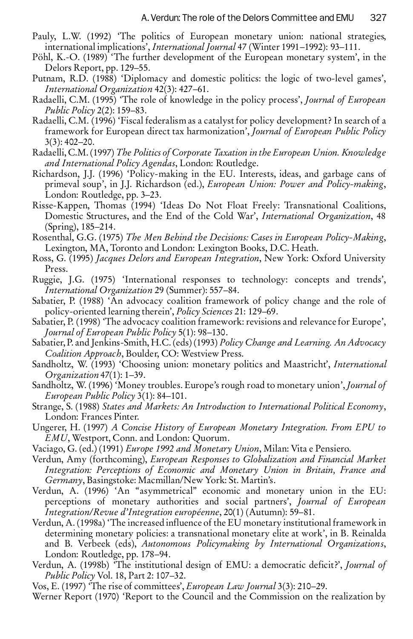- Pauly, L.W. (1992) 'The politics of European monetary union: national strategies, international implications', *International Journal* 47 (Winter 1991–1992): 93–111.
- Pöhl, K.-O. (1989) 'The further development of the European monetary system', in the Delors Report, pp. 129–55.
- Putnam, R.D. (1988) 'Diplomacy and domestic politics: the logic of two-level games', *International Organization* 42(3): 427–61.
- Radaelli, C.M. (1995) 'The role of knowledge in the policy process', *Journal of European Public Policy* 2(2): 159–83.
- Radaelli, C.M. (1996) 'Fiscal federalism as a catalyst for policy development? In search of a framework for European direct tax harmonization', *Journal of European Public Policy* 3(3): 402–20.
- Radaelli, C.M. (1997) *The Politics of Corporate Taxation in the European Union. Knowledge and International Policy Agendas*, London: Routledge.
- Richardson, J.J. (1996) 'Policy-making in the EU. Interests, ideas, and garbage cans of primeval soup', in J.J. Richardson (ed.), *European Union: Power and Policy-making*, London: Routledge, pp. 3–23.
- Risse-Kappen, Thomas (1994) 'Ideas Do Not Float Freely: Transnational Coalitions, Domestic Structures, and the End of the Cold War', *International Organization*, 48 (Spring), 185–214.
- Rosenthal, G.G. (1975) *The Men Behind the Decisions: Cases in European Policy-Making*, Lexington, MA, Toronto and London: Lexington Books, D.C. Heath.
- Ross, G. (1995) *Jacques Delors and European Integration*, New York: Oxford University Press.
- Ruggie, J.G. (1975) 'International responses to technology: concepts and trends', *International Organization* 29 (Summer): 557–84.
- Sabatier, P. (1988) 'An advocacy coalition framework of policy change and the role of policy-oriented learning therein', *Policy Sciences* 21: 129–69.
- Sabatier, P. (1998) 'The advocacy coalition framework: revisions and relevance for Europe', *Journal of European Public Policy* 5(1): 98–130.
- Sabatier, P. and Jenkins-Smith, H.C. (eds) (1993) *Policy Change and Learning. An Advocacy Coalition Approach*, Boulder, CO: Westview Press.
- Sandholtz, W. (1993) 'Choosing union: monetary politics and Maastricht', *International Organization* 47(1): 1–39.
- Sandholtz, W. (1996) 'Money troubles. Europe's rough road to monetary union', *Journal of European Public Policy* 3(1): 84–101.
- Strange, S. (1988) *States and Markets: An Introduction to International Political Economy*, London: Frances Pinter.
- Ungerer, H. (1997) *A Concise History of European Monetary Integration. From EPU to EMU*, Westport, Conn. and London: Quorum.
- Vaciago, G. (ed.) (1991) *Europe 1992 and Monetary Union*, Milan: Vita e Pensiero.
- Verdun, Amy (forthcoming), *European Responses to Globalization and Financial Market Integration: Perceptions of Economic and Monetary Union in Britain, France and Germany*, Basingstoke: Macmillan/New York: St. Martin's.
- Verdun, A. (1996) 'An "asymmetrical" economic and monetary union in the EU: perceptions of monetary authorities and social partners', *Journal of European Integration/Revue d'Integration européenne*, 20(1) (Autumn): 59–81.
- Verdun, A. (1998a) 'The increased influence of the EU monetary institutional framework in determining monetary policies: a transnational monetary elite at work', in B. Reinalda and B. Verbeek (eds), *Autonomous Policymaking by International Organizations*, London: Routledge, pp. 178–94.
- Verdun, A. (1998b) 'The institutional design of EMU: a democratic deficit?', *Journal of Public Policy* Vol. 18, Part 2: 107–32.
- Vos, E. (1997) 'The rise of committees', *European Law Journal* 3(3): 210–29.

Werner Report (1970) 'Report to the Council and the Commission on the realization by